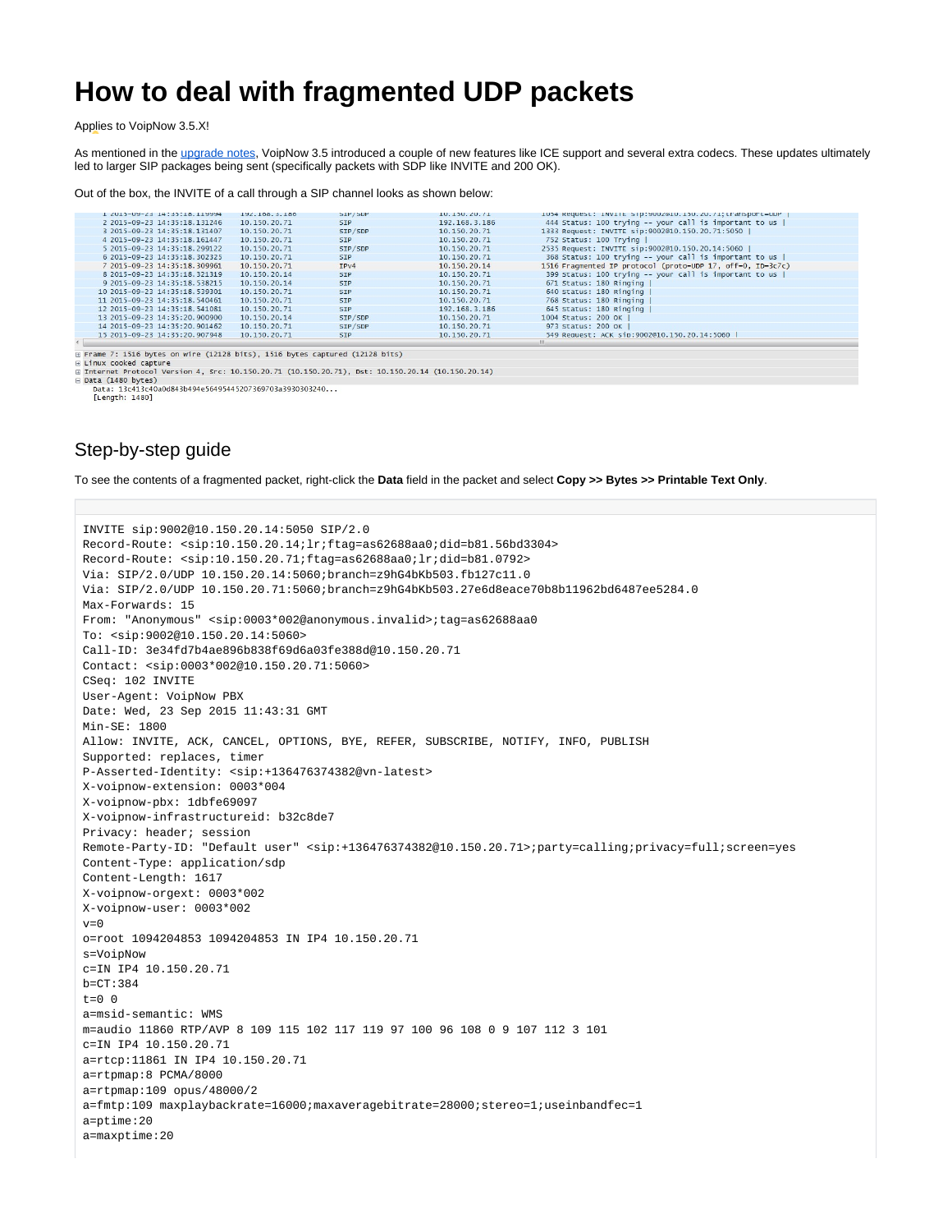## **How to deal with fragmented UDP packets**

Applies to VoipNow 3.5.X!

As mentioned in the [upgrade notes](https://wiki.4psa.com/display/VNDOCS30/VoipNow+Upgrades+Notes#VoipNowUpgradesNotes-LargerSIPpackages), VoipNow 3.5 introduced a couple of new features like ICE support and several extra codecs. These updates ultimately led to larger SIP packages being sent (specifically packets with SDP like INVITE and 200 OK).

## Out of the box, the INVITE of a call through a SIP channel looks as shown below:

| L ZUID-UM-ZS 14:50:18.119994                                                                                      | 194.108.3.180 | <b>SIP/SUP</b> | 10.130.20.71  | TO94 Request: INVITE STD:900Z@IO.I30.ZO.7I;transport=0DP   |  |
|-------------------------------------------------------------------------------------------------------------------|---------------|----------------|---------------|------------------------------------------------------------|--|
| 2 2015-09-23 14:35:18.131246                                                                                      | 10.150.20.71  | <b>SIP</b>     | 192.168.3.186 | 444 Status: 100 trying -- your call is important to us     |  |
| 3 2015-09-23 14:35:18.131407                                                                                      | 10.150.20.71  | SIP/SDP        | 10.150.20.71  | 1333 Request: INVITE sip:9002@10.150.20.71:5050            |  |
| 4 2015-09-23 14:35:18.161447                                                                                      | 10.150.20.71  | <b>STP</b>     | 10.150.20.71  | 752 Status: 100 Trying                                     |  |
| 5 2015-09-23 14:35:18.299122                                                                                      | 10.150.20.71  | SIP/SDP        | 10.150.20.71  | 2535 Request: INVITE sip:9002@10.150.20.14:5060            |  |
| 6 2015-09-23 14:35:18.302325                                                                                      | 10.150.20.71  | <b>SIP</b>     | 10.150.20.71  | 368 Status: 100 trying -- your call is important to us     |  |
| 7 2015-09-23 14:35:18.309961                                                                                      | 10.150.20.71  | IPV4           | 10.150.20.14  | 1516 Fragmented IP protocol (proto=UDP 17, off=0, ID=3c7c) |  |
| 8 2015-09-23 14:35:18.321319                                                                                      | 10.150.20.14  | <b>SIP</b>     | 10.150.20.71  | 399 Status: 100 trying -- your call is important to us     |  |
| 9 2015-09-23 14:35:18, 538215                                                                                     | 10.150.20.14  | <b>STP</b>     | 10.150.20.71  | 671 Status: 180 Ringing                                    |  |
| 10 2015-09-23 14:35:18.539301                                                                                     | 10.150.20.71  | <b>STP</b>     | 10.150.20.71  | 640 Status: 180 Ringing                                    |  |
| 11 2015-09-23 14:35:18, 540461                                                                                    | 10.150.20.71  | <b>SIP</b>     | 10.150.20.71  | 768 Status: 180 Ringing                                    |  |
| 12 2015-09-23 14:35:18.541081                                                                                     | 10.150.20.71  | <b>SIP</b>     | 192.168.3.186 | 645 Status: 180 Ringing                                    |  |
| 13 2015-09-23 14:35:20.900900                                                                                     | 10.150.20.14  | SIP/SDP        | 10.150.20.71  | 1004 Status: 200 OK                                        |  |
| 14 2015-09-23 14:35:20.901462                                                                                     | 10.150.20.71  | SIP/SDP        | 10.150.20.71  | 973 Status: 200 OK                                         |  |
| 15 2015-09-23 14:35:20.907948                                                                                     | 10.150.20.71  | <b>STP</b>     | 10.150.20.71  | 549 Request: ACK sip:9002@10.150.20.14:5060                |  |
|                                                                                                                   |               |                |               | m.                                                         |  |
|                                                                                                                   |               |                |               |                                                            |  |
| Frame 7: 1516 bytes on wire (12128 bits), 1516 bytes captured (12128 bits)<br>$E = \frac{1}{2}mv$ cooleed contune |               |                |               |                                                            |  |

□ internet Protocol Version 4, Src: 10.150.20.71 (10.150.20.71), Dst: 10.150.20.14 (10.150.20.14)

Data (1480 bytes) Data: 13c413c40a0d843b494e56495445207369703a3930303240... [Length: 1480]

## Step-by-step guide

To see the contents of a fragmented packet, right-click the **Data** field in the packet and select **Copy >> Bytes >> Printable Text Only**.

```
INVITE sip:9002@10.150.20.14:5050 SIP/2.0
Record-Route: <sip:10.150.20.14;lr;ftag=as62688aa0;did=b81.56bd3304>
Record-Route: <sip:10.150.20.71;ftag=as62688aa0;lr;did=b81.0792>
Via: SIP/2.0/UDP 10.150.20.14:5060;branch=z9hG4bKb503.fb127c11.0
Via: SIP/2.0/UDP 10.150.20.71:5060;branch=z9hG4bKb503.27e6d8eace70b8b11962bd6487ee5284.0
Max-Forwards: 15
From: "Anonymous" <sip:0003*002@anonymous.invalid>;tag=as62688aa0
To: <sip:9002@10.150.20.14:5060>
Call-ID: 3e34fd7b4ae896b838f69d6a03fe388d@10.150.20.71
Contact: <sip:0003*002@10.150.20.71:5060>
CSeq: 102 INVITE
User-Agent: VoipNow PBX
Date: Wed, 23 Sep 2015 11:43:31 GMT
Min-SE: 1800
Allow: INVITE, ACK, CANCEL, OPTIONS, BYE, REFER, SUBSCRIBE, NOTIFY, INFO, PUBLISH
Supported: replaces, timer
P-Asserted-Identity: <sip:+136476374382@vn-latest>
X-voipnow-extension: 0003*004
X-voipnow-pbx: 1dbfe69097
X-voipnow-infrastructureid: b32c8de7
Privacy: header; session
Remote-Party-ID: "Default user" <sip:+136476374382@10.150.20.71>;party=calling;privacy=full;screen=yes
Content-Type: application/sdp
Content-Length: 1617
X-voipnow-orgext: 0003*002
X-voipnow-user: 0003*002
v=0o=root 1094204853 1094204853 IN IP4 10.150.20.71
s=VoipNow
c=IN IP4 10.150.20.71
b=CT:384
t=0 0
a=msid-semantic: WMS
m=audio 11860 RTP/AVP 8 109 115 102 117 119 97 100 96 108 0 9 107 112 3 101
c=IN IP4 10.150.20.71
a=rtcp:11861 IN IP4 10.150.20.71
a=rtpmap:8 PCMA/8000
a=rtpmap:109 opus/48000/2
a=fmtp:109 maxplaybackrate=16000;maxaveragebitrate=28000;stereo=1;useinbandfec=1
a=ptime:20
a=maxptime:20
```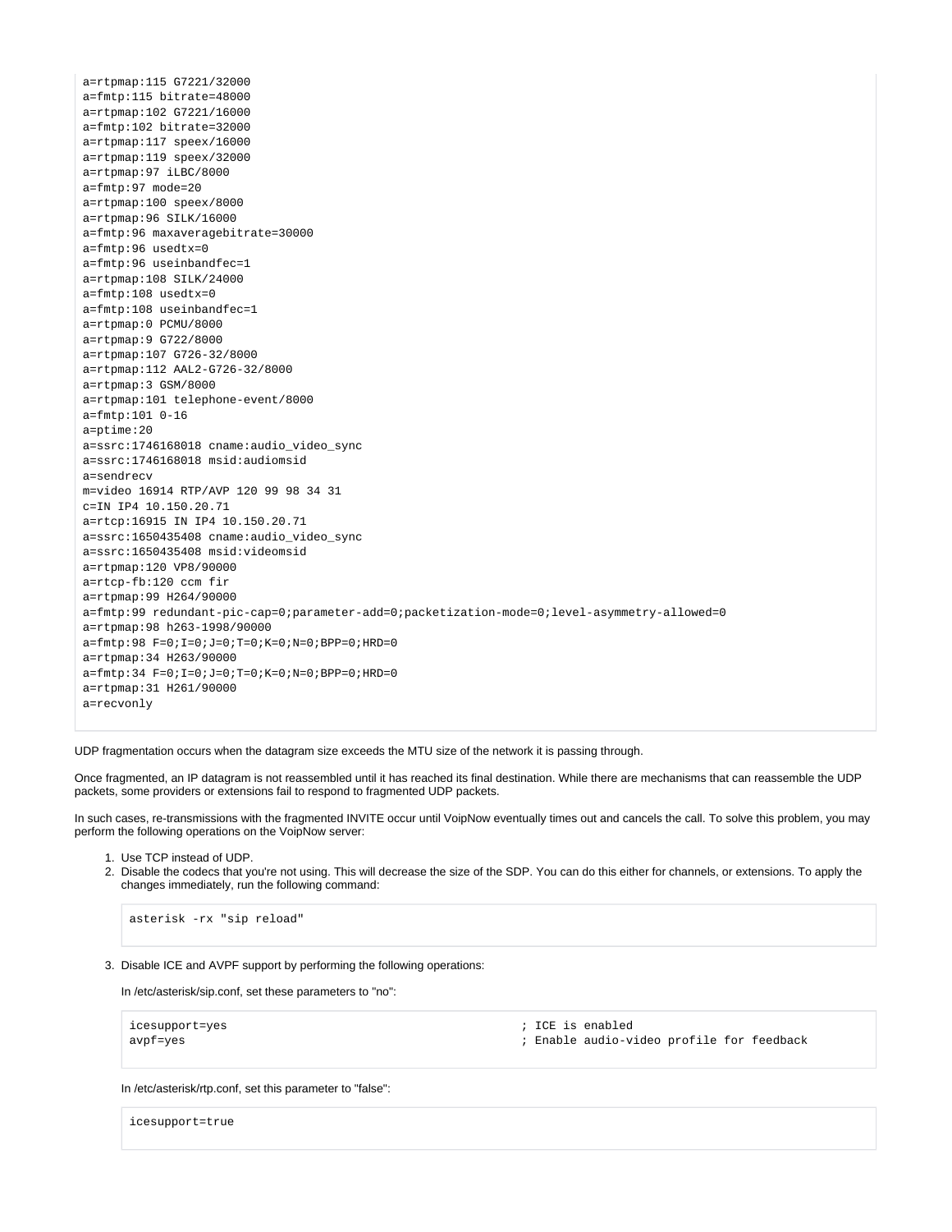a=rtpmap:115 G7221/32000 a=fmtp:115 bitrate=48000 a=rtpmap:102 G7221/16000 a=fmtp:102 bitrate=32000 a=rtpmap:117 speex/16000 a=rtpmap:119 speex/32000 a=rtpmap:97 iLBC/8000 a=fmtp:97 mode=20 a=rtpmap:100 speex/8000 a=rtpmap:96 SILK/16000 a=fmtp:96 maxaveragebitrate=30000 a=fmtp:96 usedtx=0 a=fmtp:96 useinbandfec=1 a=rtpmap:108 SILK/24000 a=fmtp:108 usedtx=0 a=fmtp:108 useinbandfec=1 a=rtpmap:0 PCMU/8000 a=rtpmap:9 G722/8000 a=rtpmap:107 G726-32/8000 a=rtpmap:112 AAL2-G726-32/8000 a=rtpmap:3 GSM/8000 a=rtpmap:101 telephone-event/8000 a=fmtp:101 0-16 a=ptime:20 a=ssrc:1746168018 cname:audio\_video\_sync a=ssrc:1746168018 msid:audiomsid a=sendrecv m=video 16914 RTP/AVP 120 99 98 34 31 c=IN IP4 10.150.20.71 a=rtcp:16915 IN IP4 10.150.20.71 a=ssrc:1650435408 cname:audio\_video\_sync a=ssrc:1650435408 msid:videomsid a=rtpmap:120 VP8/90000 a=rtcp-fb:120 ccm fir a=rtpmap:99 H264/90000 a=fmtp:99 redundant-pic-cap=0;parameter-add=0;packetization-mode=0;level-asymmetry-allowed=0 a=rtpmap:98 h263-1998/90000 a=fmtp:98 F=0;I=0;J=0;T=0;K=0;N=0;BPP=0;HRD=0 a=rtpmap:34 H263/90000 a=fmtp:34 F=0;I=0;J=0;T=0;K=0;N=0;BPP=0;HRD=0 a=rtpmap:31 H261/90000 a=recvonly

UDP fragmentation occurs when the datagram size exceeds the MTU size of the network it is passing through.

Once fragmented, an IP datagram is not reassembled until it has reached its final destination. While there are mechanisms that can reassemble the UDP packets, some providers or extensions fail to respond to fragmented UDP packets.

In such cases, re-transmissions with the fragmented INVITE occur until VoipNow eventually times out and cancels the call. To solve this problem, you may perform the following operations on the VoipNow server:

- 1. Use TCP instead of UDP.
- 2. Disable the codecs that you're not using. This will decrease the size of the SDP. You can do this either for channels, or extensions. To apply the changes immediately, run the following command:

```
asterisk -rx "sip reload"
```
3. Disable ICE and AVPF support by performing the following operations:

In /etc/asterisk/sip.conf, set these parameters to "no":

| icesupport=yes |  |
|----------------|--|
| avpf=yes       |  |

 $i$  ICE is enabled

; Enable audio-video profile for feedback

In /etc/asterisk/rtp.conf, set this parameter to "false":

icesupport=true